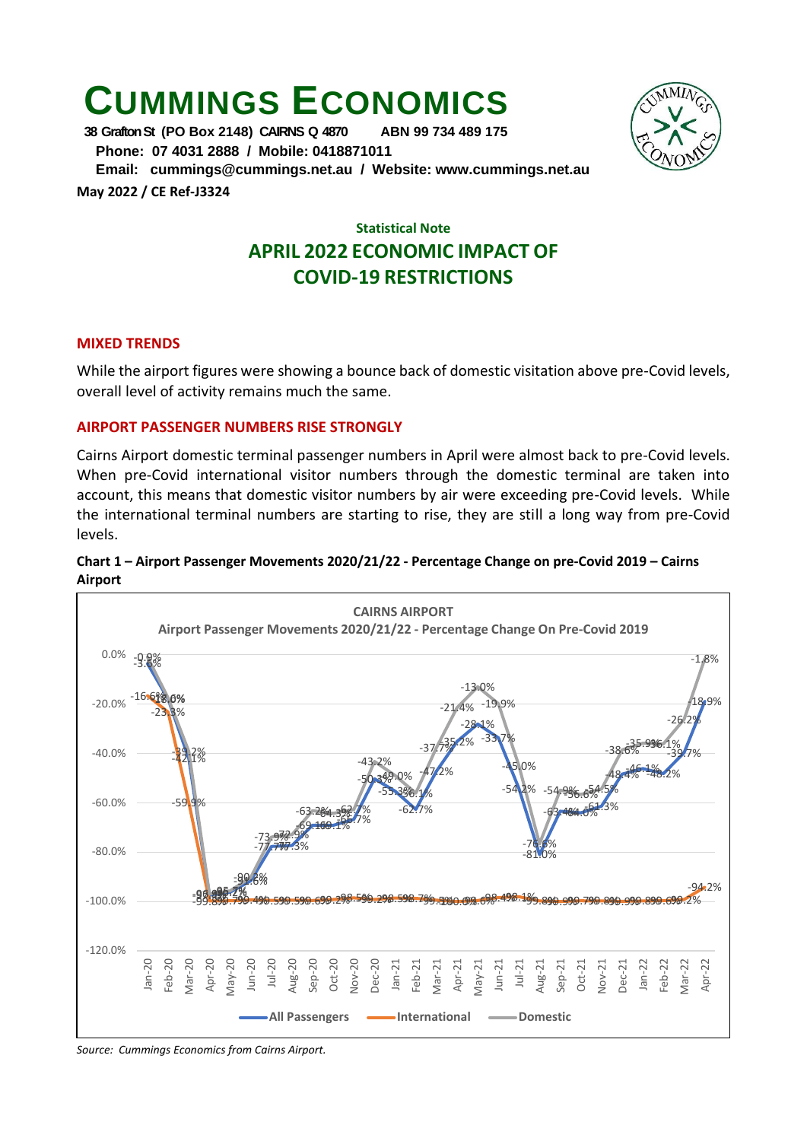# **CUMMINGS ECONOMICS**<br>38 Grafton St (PO Box 2148) CARNS Q 4870 ABN 99 734 489 175

**38 Grafton St (PO Box 2148) CAIRNS Q 4870** 

 **Phone: 07 4031 2888 / Mobile: 0418871011** 

 **Email: [cummings@cummings.net.au](mailto:cummings@cummings.net.au) / Website: www.cummings.net.au May 2022 / CE Ref-J3324**

# **Statistical Note APRIL 2022 ECONOMIC IMPACT OF COVID-19 RESTRICTIONS**

## **MIXED TRENDS**

While the airport figures were showing a bounce back of domestic visitation above pre-Covid levels, overall level of activity remains much the same.

# **AIRPORT PASSENGER NUMBERS RISE STRONGLY**

Cairns Airport domestic terminal passenger numbers in April were almost back to pre-Covid levels. When pre-Covid international visitor numbers through the domestic terminal are taken into account, this means that domestic visitor numbers by air were exceeding pre-Covid levels. While the international terminal numbers are starting to rise, they are still a long way from pre-Covid levels.

### **Chart 1 – Airport Passenger Movements 2020/21/22 - Percentage Change on pre-Covid 2019 – Cairns Airport**



*Source: Cummings Economics from Cairns Airport.*

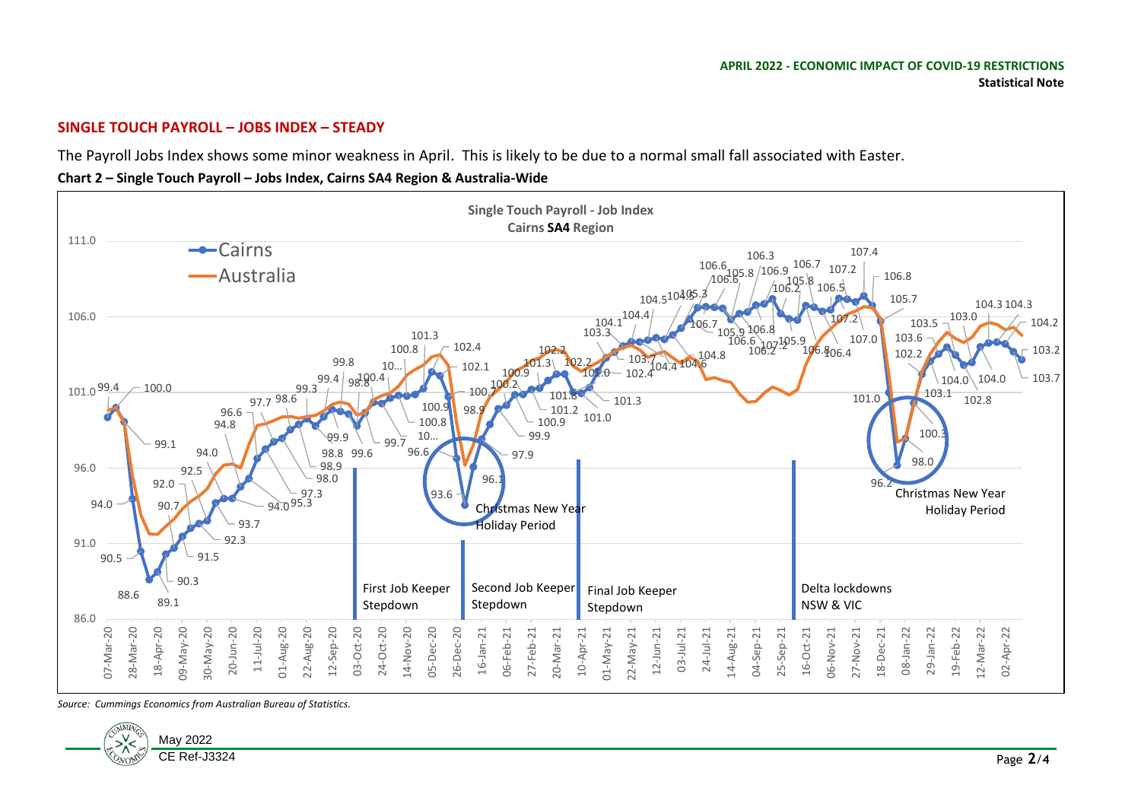#### **SINGLE TOUCH PAYROLL – JOBS INDEX – STEADY**

The Payroll Jobs Index shows some minor weakness in April. This is likely to be due to a normal small fall associated with Easter.

**Chart 2 – Single Touch Payroll – Jobs Index, Cairns SA4 Region & Australia-Wide**



*Source: Cummings Economics from Australian Bureau of Statistics.*

![](_page_1_Picture_6.jpeg)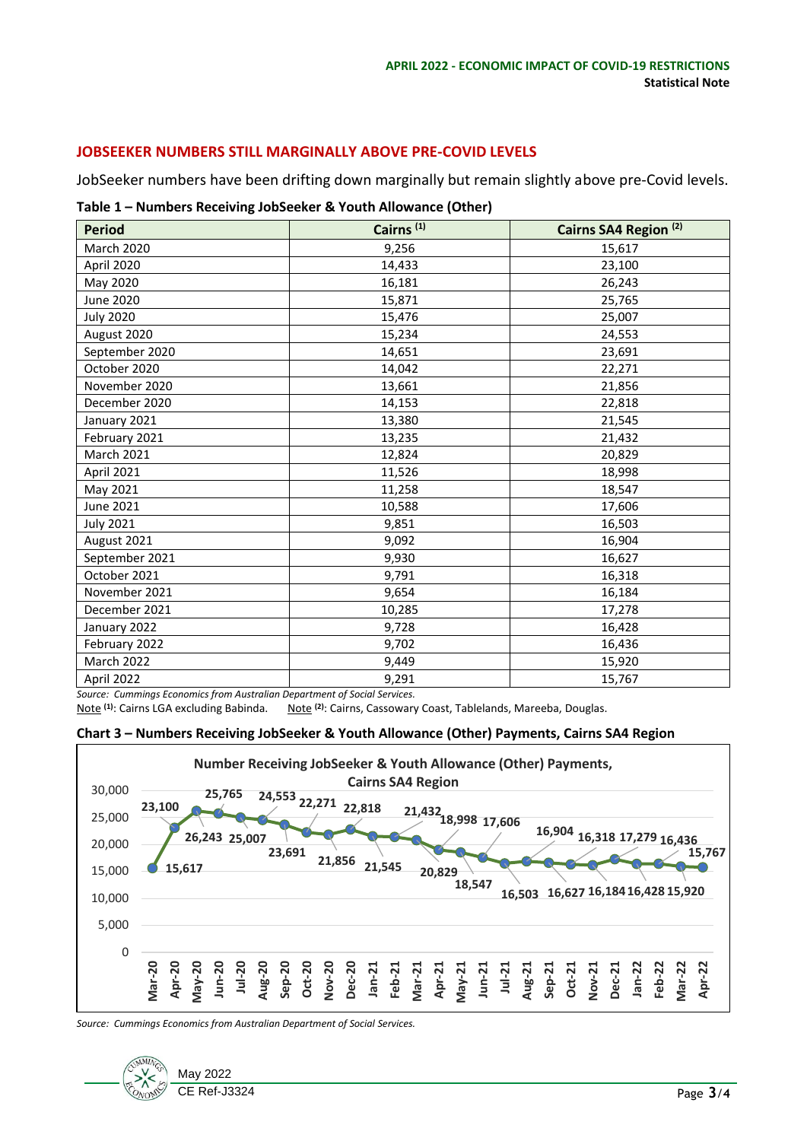#### **JOBSEEKER NUMBERS STILL MARGINALLY ABOVE PRE-COVID LEVELS**

JobSeeker numbers have been drifting down marginally but remain slightly above pre-Covid levels.

#### **Table 1 – Numbers Receiving JobSeeker & Youth Allowance (Other)**

| <b>Period</b>     | Cairns <sup>(1)</sup> | Cairns SA4 Region <sup>(2)</sup> |
|-------------------|-----------------------|----------------------------------|
| March 2020        | 9,256                 | 15,617                           |
| April 2020        | 14,433                | 23,100                           |
| May 2020          | 16,181                | 26,243                           |
| <b>June 2020</b>  | 15,871                | 25,765                           |
| <b>July 2020</b>  | 15,476                | 25,007                           |
| August 2020       | 15,234                | 24,553                           |
| September 2020    | 14,651                | 23,691                           |
| October 2020      | 14,042                | 22,271                           |
| November 2020     | 13,661                | 21,856                           |
| December 2020     | 14,153                | 22,818                           |
| January 2021      | 13,380                | 21,545                           |
| February 2021     | 13,235                | 21,432                           |
| <b>March 2021</b> | 12,824                | 20,829                           |
| April 2021        | 11,526                | 18,998                           |
| May 2021          | 11,258                | 18,547                           |
| June 2021         | 10,588                | 17,606                           |
| <b>July 2021</b>  | 9,851                 | 16,503                           |
| August 2021       | 9,092                 | 16,904                           |
| September 2021    | 9,930                 | 16,627                           |
| October 2021      | 9,791                 | 16,318                           |
| November 2021     | 9,654                 | 16,184                           |
| December 2021     | 10,285                | 17,278                           |
| January 2022      | 9,728                 | 16,428                           |
| February 2022     | 9,702                 | 16,436                           |
| March 2022        | 9,449                 | 15,920                           |
| April 2022        | 9,291<br>$\sim$       | 15,767                           |

*Source: Cummings Economics from Australian Department of Social Services.*

Note <sup>(2)</sup>: Cairns, Cassowary Coast, Tablelands, Mareeba, Douglas.

#### **Chart 3 – Numbers Receiving JobSeeker & Youth Allowance (Other) Payments, Cairns SA4 Region**

![](_page_2_Figure_8.jpeg)

*Source: Cummings Economics from Australian Department of Social Services.*

![](_page_2_Figure_10.jpeg)